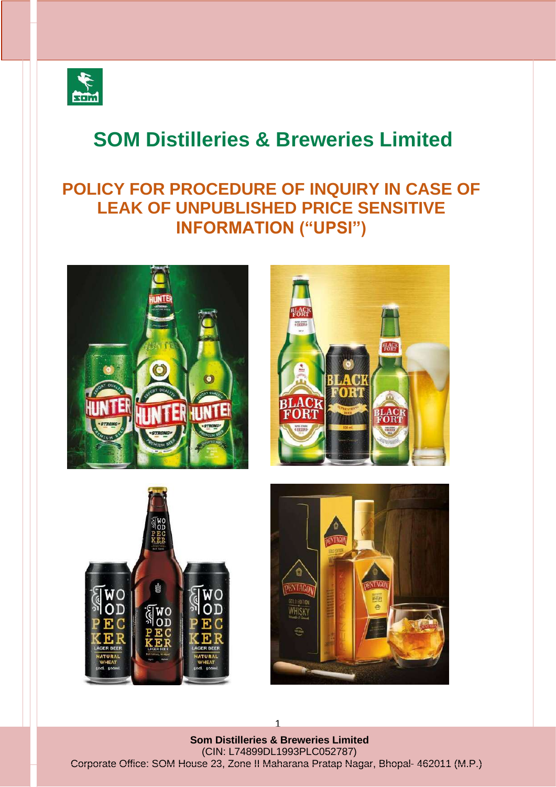

# **SOM Distilleries & Breweries Limited**

## **POLICY FOR PROCEDURE OF INQUIRY IN CASE OF LEAK OF UNPUBLISHED PRICE SENSITIVE INFORMATION ("UPSI")**









**Som Distilleries & Breweries Limited** (CIN: L74899DL1993PLC052787) Corporate Office: SOM House 23, Zone II Maharana Pratap Nagar, Bhopal- 462011 (M.P.)

1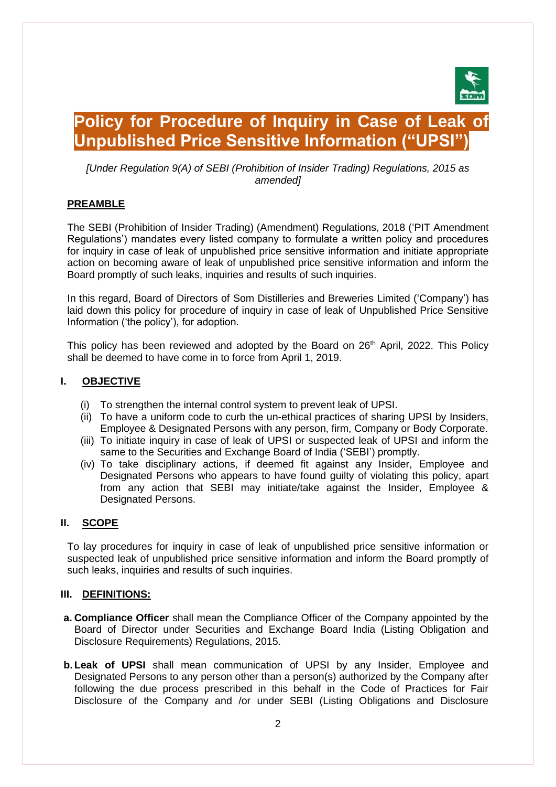

### **Policy for Procedure of Inquiry in Case of Leak of Unpublished Price Sensitive Information ("UPSI")**

*[Under Regulation 9(A) of SEBI (Prohibition of Insider Trading) Regulations, 2015 as amended]*

#### **PREAMBLE**

The SEBI (Prohibition of Insider Trading) (Amendment) Regulations, 2018 ('PIT Amendment Regulations') mandates every listed company to formulate a written policy and procedures for inquiry in case of leak of unpublished price sensitive information and initiate appropriate action on becoming aware of leak of unpublished price sensitive information and inform the Board promptly of such leaks, inquiries and results of such inquiries.

In this regard, Board of Directors of Som Distilleries and Breweries Limited ('Company') has laid down this policy for procedure of inquiry in case of leak of Unpublished Price Sensitive Information ('the policy'), for adoption.

This policy has been reviewed and adopted by the Board on 26<sup>th</sup> April, 2022. This Policy shall be deemed to have come in to force from April 1, 2019.

#### **I. OBJECTIVE**

- (i) To strengthen the internal control system to prevent leak of UPSI.
- (ii) To have a uniform code to curb the un-ethical practices of sharing UPSI by Insiders, Employee & Designated Persons with any person, firm, Company or Body Corporate.
- (iii) To initiate inquiry in case of leak of UPSI or suspected leak of UPSI and inform the same to the Securities and Exchange Board of India ('SEBI') promptly.
- (iv) To take disciplinary actions, if deemed fit against any Insider, Employee and Designated Persons who appears to have found guilty of violating this policy, apart from any action that SEBI may initiate/take against the Insider, Employee & Designated Persons.

#### **II. SCOPE**

To lay procedures for inquiry in case of leak of unpublished price sensitive information or suspected leak of unpublished price sensitive information and inform the Board promptly of such leaks, inquiries and results of such inquiries.

#### **III. DEFINITIONS:**

- **a. Compliance Officer** shall mean the Compliance Officer of the Company appointed by the Board of Director under Securities and Exchange Board India (Listing Obligation and Disclosure Requirements) Regulations, 2015.
- **b.Leak of UPSI** shall mean communication of UPSI by any Insider, Employee and Designated Persons to any person other than a person(s) authorized by the Company after following the due process prescribed in this behalf in the Code of Practices for Fair Disclosure of the Company and /or under SEBI (Listing Obligations and Disclosure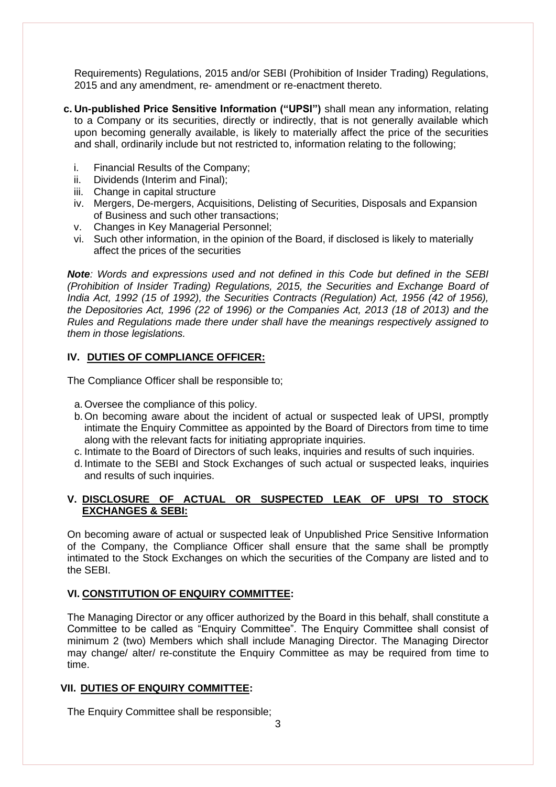Requirements) Regulations, 2015 and/or SEBI (Prohibition of Insider Trading) Regulations, 2015 and any amendment, re- amendment or re-enactment thereto.

- **c. Un-published Price Sensitive Information ("UPSI")** shall mean any information, relating to a Company or its securities, directly or indirectly, that is not generally available which upon becoming generally available, is likely to materially affect the price of the securities and shall, ordinarily include but not restricted to, information relating to the following;
	- i. Financial Results of the Company;
	- ii. Dividends (Interim and Final);
	- iii. Change in capital structure
	- iv. Mergers, De-mergers, Acquisitions, Delisting of Securities, Disposals and Expansion of Business and such other transactions;
	- v. Changes in Key Managerial Personnel;
	- vi. Such other information, in the opinion of the Board, if disclosed is likely to materially affect the prices of the securities

*Note: Words and expressions used and not defined in this Code but defined in the SEBI (Prohibition of Insider Trading) Regulations, 2015, the Securities and Exchange Board of India Act, 1992 (15 of 1992), the Securities Contracts (Regulation) Act, 1956 (42 of 1956), the Depositories Act, 1996 (22 of 1996) or the Companies Act, 2013 (18 of 2013) and the Rules and Regulations made there under shall have the meanings respectively assigned to them in those legislations.*

#### **IV. DUTIES OF COMPLIANCE OFFICER:**

The Compliance Officer shall be responsible to;

- a.Oversee the compliance of this policy.
- b.On becoming aware about the incident of actual or suspected leak of UPSI, promptly intimate the Enquiry Committee as appointed by the Board of Directors from time to time along with the relevant facts for initiating appropriate inquiries.
- c. Intimate to the Board of Directors of such leaks, inquiries and results of such inquiries.
- d. Intimate to the SEBI and Stock Exchanges of such actual or suspected leaks, inquiries and results of such inquiries.

#### **V. DISCLOSURE OF ACTUAL OR SUSPECTED LEAK OF UPSI TO STOCK EXCHANGES & SEBI:**

On becoming aware of actual or suspected leak of Unpublished Price Sensitive Information of the Company, the Compliance Officer shall ensure that the same shall be promptly intimated to the Stock Exchanges on which the securities of the Company are listed and to the SEBI.

#### **VI. CONSTITUTION OF ENQUIRY COMMITTEE:**

The Managing Director or any officer authorized by the Board in this behalf, shall constitute a Committee to be called as "Enquiry Committee". The Enquiry Committee shall consist of minimum 2 (two) Members which shall include Managing Director. The Managing Director may change/ alter/ re-constitute the Enquiry Committee as may be required from time to time.

#### **VII. DUTIES OF ENQUIRY COMMITTEE:**

The Enquiry Committee shall be responsible;